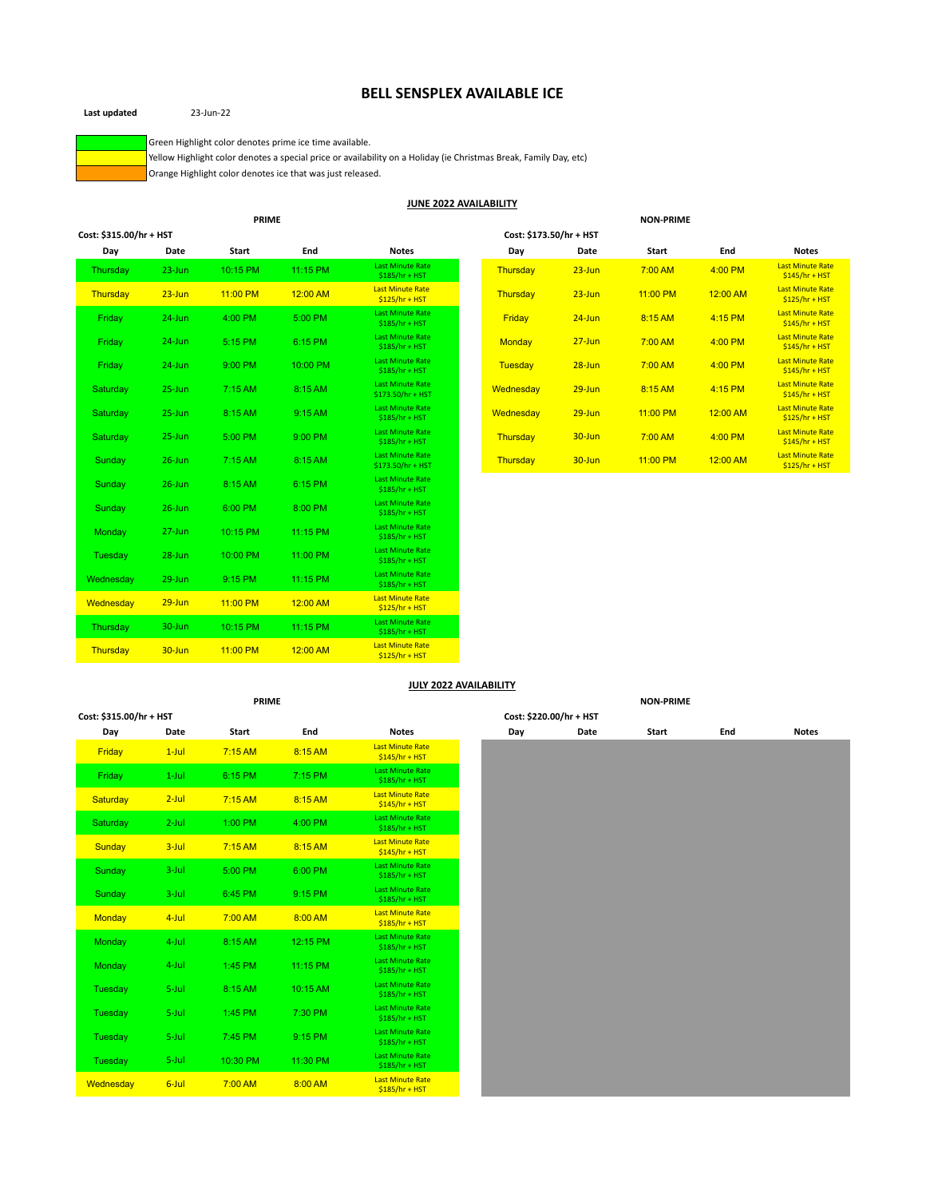# **BELL SENSPLEX AVAILABLE ICE**

**Last updated** 23-Jun-22

Green Highlight color denotes prime ice time available.

Yellow Highlight color denotes a special price or availability on a Holiday (ie Christmas Break, Family Day, etc)

Orange Highlight color denotes ice that was just released.

#### **JUNE 2022 AVAILABILITY**

|                         |            | <b>PRIME</b> |          |                                              |                         |            | <b>NON-PRIME</b> |          |                                            |
|-------------------------|------------|--------------|----------|----------------------------------------------|-------------------------|------------|------------------|----------|--------------------------------------------|
| Cost: \$315.00/hr + HST |            |              |          |                                              | Cost: \$173.50/hr + HST |            |                  |          |                                            |
| Day                     | Date       | Start        | End      | <b>Notes</b>                                 | Day                     | Date       | Start            | End      | <b>Notes</b>                               |
| Thursday                | $23 - Jun$ | 10:15 PM     | 11:15 PM | <b>Last Minute Rate</b><br>$$185/hr + HST$   | Thursday                | $23 - Jun$ | 7:00 AM          | 4:00 PM  | <b>Last Minute Rate</b><br>$$145/hr + HST$ |
| Thursday                | $23 - Jun$ | 11:00 PM     | 12:00 AM | <b>Last Minute Rate</b><br>$$125/hr + HST$   | Thursday                | $23 - Jun$ | 11:00 PM         | 12:00 AM | <b>Last Minute Rate</b><br>$$125/hr + HST$ |
| Friday                  | $24$ -Jun  | 4:00 PM      | 5:00 PM  | <b>Last Minute Rate</b><br>$$185/hr + HST$   | Friday                  | $24$ -Jun  | 8:15 AM          | 4:15 PM  | <b>Last Minute Rate</b><br>$$145/hr + HST$ |
| Friday                  | $24$ -Jun  | 5:15 PM      | 6:15 PM  | <b>Last Minute Rate</b><br>$$185/hr + HST$   | <b>Monday</b>           | $27 - Jun$ | 7:00 AM          | 4:00 PM  | <b>Last Minute Rate</b><br>$$145/hr + HST$ |
| Friday                  | $24$ -Jun  | 9:00 PM      | 10:00 PM | <b>Last Minute Rate</b><br>$$185/hr + HST$   | Tuesday                 | $28 - Jun$ | 7:00 AM          | 4:00 PM  | <b>Last Minute Rate</b><br>$$145/hr + HST$ |
| Saturday                | $25 - Jun$ | 7:15 AM      | 8:15 AM  | <b>Last Minute Rate</b><br>\$173.50/hr + HST | Wednesday               | $29 - Jun$ | 8:15 AM          | 4:15 PM  | <b>Last Minute Rate</b><br>$$145/hr + HST$ |
| Saturday                | $25 - Jun$ | 8:15 AM      | 9:15 AM  | <b>Last Minute Rate</b><br>$$185/hr + HST$   | Wednesday               | $29 - Jun$ | 11:00 PM         | 12:00 AM | <b>Last Minute Rate</b><br>$$125/hr + HST$ |
| Saturday                | $25 - Jun$ | 5:00 PM      | 9:00 PM  | <b>Last Minute Rate</b><br>$$185/hr + HST$   | Thursday                | 30-Jun     | 7:00 AM          | 4:00 PM  | <b>Last Minute Rate</b><br>$$145/hr + HST$ |
| Sunday                  | $26$ -Jun  | 7:15 AM      | 8:15 AM  | <b>Last Minute Rate</b><br>\$173.50/hr + HST | Thursday                | 30-Jun     | 11:00 PM         | 12:00 AM | <b>Last Minute Rate</b><br>$$125/hr + HST$ |
| Sunday                  | $26$ -Jun  | 8:15 AM      | 6:15 PM  | <b>Last Minute Rate</b><br>$$185/hr + HST$   |                         |            |                  |          |                                            |
| Sunday                  | $26$ -Jun  | 6:00 PM      | 8:00 PM  | <b>Last Minute Rate</b><br>$$185/hr + HST$   |                         |            |                  |          |                                            |
| Monday                  | $27 - Jun$ | 10:15 PM     | 11:15 PM | <b>Last Minute Rate</b><br>$$185/hr + HST$   |                         |            |                  |          |                                            |
| Tuesday                 | 28-Jun     | 10:00 PM     | 11:00 PM | <b>Last Minute Rate</b><br>$$185/hr + HST$   |                         |            |                  |          |                                            |
| Wednesday               | $29 - Jun$ | 9:15 PM      | 11:15 PM | <b>Last Minute Rate</b><br>$$185/hr + HST$   |                         |            |                  |          |                                            |
| Wednesday               | $29 - Jun$ | 11:00 PM     | 12:00 AM | <b>Last Minute Rate</b><br>$$125/hr + HST$   |                         |            |                  |          |                                            |
| Thursday                | $30 - Jun$ | 10:15 PM     | 11:15 PM | <b>Last Minute Rate</b><br>$$185/hr + HST$   |                         |            |                  |          |                                            |
| Thursday                | 30-Jun     | 11:00 PM     | 12:00 AM | <b>Last Minute Rate</b><br>$$125/hr + HST$   |                         |            |                  |          |                                            |

## **JULY 2022 AVAILABILITY**

| <b>PRIME</b>            |          |           |          |                                            |  |     |                         | <b>NON-PRIME</b> |     |              |
|-------------------------|----------|-----------|----------|--------------------------------------------|--|-----|-------------------------|------------------|-----|--------------|
| Cost: \$315.00/hr + HST |          |           |          |                                            |  |     | Cost: \$220.00/hr + HST |                  |     |              |
| Day                     | Date     | Start     | End      | <b>Notes</b>                               |  | Day | Date                    | Start            | End | <b>Notes</b> |
| Friday                  | $1$ -Jul | 7:15 AM   | 8:15 AM  | <b>Last Minute Rate</b><br>$$145/hr + HST$ |  |     |                         |                  |     |              |
| Friday                  | $1$ -Jul | 6:15 PM   | 7:15 PM  | <b>Last Minute Rate</b><br>$$185/hr + HST$ |  |     |                         |                  |     |              |
| <b>Saturday</b>         | $2$ -Jul | $7:15$ AM | 8:15 AM  | <b>Last Minute Rate</b><br>$$145/hr + HST$ |  |     |                         |                  |     |              |
| Saturday                | $2$ -Jul | 1:00 PM   | 4:00 PM  | <b>Last Minute Rate</b><br>$$185/hr + HST$ |  |     |                         |                  |     |              |
| Sunday                  | $3$ -Jul | $7:15$ AM | 8:15 AM  | <b>Last Minute Rate</b><br>$$145/hr + HST$ |  |     |                         |                  |     |              |
| Sunday                  | 3-Jul    | 5:00 PM   | 6:00 PM  | <b>Last Minute Rate</b><br>$$185/hr + HST$ |  |     |                         |                  |     |              |
| Sunday                  | $3$ -Jul | 6:45 PM   | 9:15 PM  | <b>Last Minute Rate</b><br>$$185/hr + HST$ |  |     |                         |                  |     |              |
| <b>Monday</b>           | $4$ -Jul | 7:00 AM   | 8:00 AM  | <b>Last Minute Rate</b><br>$$185/hr + HST$ |  |     |                         |                  |     |              |
| Monday                  | 4-Jul    | 8:15 AM   | 12:15 PM | <b>Last Minute Rate</b><br>$$185/hr + HST$ |  |     |                         |                  |     |              |
| Monday                  | 4-Jul    | 1:45 PM   | 11:15 PM | <b>Last Minute Rate</b><br>$$185/hr + HST$ |  |     |                         |                  |     |              |
| Tuesday                 | 5-Jul    | 8:15 AM   | 10:15 AM | <b>Last Minute Rate</b><br>$$185/hr + HST$ |  |     |                         |                  |     |              |
| Tuesday                 | 5-Jul    | 1:45 PM   | 7:30 PM  | <b>Last Minute Rate</b><br>$$185/hr + HST$ |  |     |                         |                  |     |              |
| Tuesday                 | 5-Jul    | 7:45 PM   | 9:15 PM  | <b>Last Minute Rate</b><br>$$185/hr + HST$ |  |     |                         |                  |     |              |
| Tuesday                 | 5-Jul    | 10:30 PM  | 11:30 PM | <b>Last Minute Rate</b><br>$$185/hr + HST$ |  |     |                         |                  |     |              |
| Wednesday               | $6$ -Jul | 7:00 AM   | 8:00 AM  | <b>Last Minute Rate</b><br>$$185/hr + HST$ |  |     |                         |                  |     |              |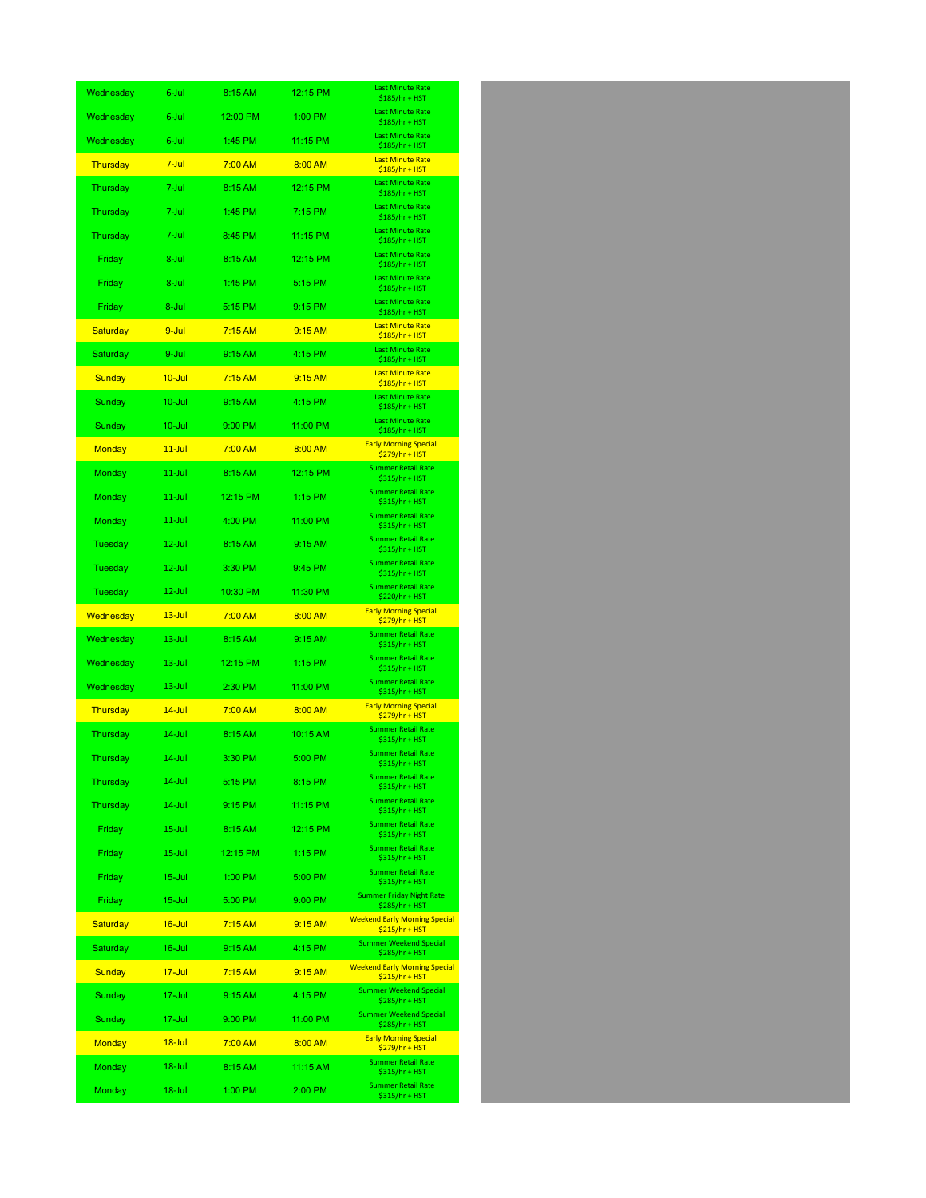| Wednesday        | 6-Jul      | 8:15 AM  | 12:15 PM | <b>Last Minute Rate</b><br>\$185/hr + HST               |
|------------------|------------|----------|----------|---------------------------------------------------------|
| Wednesday        | 6-Jul      | 12:00 PM | 1:00 PM  | <b>Last Minute Rate</b><br>\$185/hr + HST               |
| Wednesday        | 6-Jul      | 1:45 PM  | 11:15 PM | <b>Last Minute Rate</b><br>\$185/hr + HST               |
| Thursday         | $7$ -Jul   | 7:00 AM  | 8:00 AM  | <b>Last Minute Rate</b><br>$$185/hr + HST$              |
| Thursday         | 7-Jul      | 8:15 AM  | 12:15 PM | <b>Last Minute Rate</b><br>$$185/hr + HST$              |
| Thursday         | 7-Jul      | 1:45 PM  | 7:15 PM  | <b>Last Minute Rate</b><br>\$185/hr + HST               |
| Thursday         | 7-Jul      | 8:45 PM  | 11:15 PM | <b>Last Minute Rate</b><br>\$185/hr + HST               |
| Friday           | 8-Jul      | 8:15 AM  | 12:15 PM | <b>Last Minute Rate</b><br>\$185/hr + HST               |
| Friday           | 8-Jul      | 1:45 PM  | 5:15 PM  | <b>Last Minute Rate</b><br>\$185/hr + HST               |
| Friday           | 8-Jul      | 5:15 PM  | 9:15 PM  | <b>Last Minute Rate</b><br>\$185/hr + HST               |
| Saturday         | 9-Jul      | 7:15AM   | 9:15 AM  | <b>Last Minute Rate</b><br>$$185/hr + HST$              |
| Saturday         | 9-Jul      | 9:15 AM  | 4:15 PM  | <b>Last Minute Rate</b><br>\$185/hr + HST               |
| <b>Sunday</b>    | $10 -$ Jul | 7:15AM   | 9:15 AM  | <b>Last Minute Rate</b><br>$$185/hr + HST$              |
| Sunday           | $10 -$ Jul | 9:15AM   | 4:15 PM  | <b>Last Minute Rate</b><br>\$185/hr + HST               |
| Sunday           | 10-Jul     | 9:00 PM  | 11:00 PM | <b>Last Minute Rate</b><br>\$185/hr + HST               |
| Monday           | $11$ -Jul  | 7:00 AM  | 8:00 AM  | <b>Early Morning Special</b><br>\$279/hr + HST          |
| Monday           | $11$ -Jul  | 8:15 AM  | 12:15 PM | <b>Summer Retail Rate</b><br>\$315/hr + HST             |
| Monday           | 11-Jul     | 12:15 PM | 1:15 PM  | <b>Summer Retail Rate</b><br>\$315/hr + HST             |
| Monday           | $11$ -Jul  | 4:00 PM  | 11:00 PM | <b>Summer Retail Rate</b><br>\$315/hr + HST             |
| Tuesday          | 12-Jul     | 8:15 AM  | 9:15AM   | <b>Summer Retail Rate</b><br>\$315/hr + HST             |
| Tuesday          | $12$ -Jul  | 3:30 PM  | 9:45 PM  | <b>Summer Retail Rate</b><br>\$315/hr + HST             |
| Tuesday          | 12-Jul     | 10:30 PM | 11:30 PM | <b>Summer Retail Rate</b><br>\$220/hr + HST             |
| <u>Wednesday</u> | $13 - Jul$ | 7:00 AM  | 8:00 AM  | <b>Early Morning Special</b><br>$$279/hr + HST$         |
| Wednesday        | 13-Jul     | 8:15 AM  | 9:15 AM  | <b>Summer Retail Rate</b><br>\$315/hr + HST             |
| Wednesday        | $13 -$ Jul | 12:15 PM | 1:15 PM  | <b>Summer Retail Rate</b><br>\$315/hr + HST             |
| Wednesday        | 13-Jul     | 2:30 PM  | 11:00 PM | <b>Summer Retail Rate</b><br>\$315/hr + HST             |
| <b>Thursday</b>  | $14$ -Jul  | 7:00 AM  | 8:00 AM  | <b>Early Morning Special</b><br>$$279/hr + HST$         |
| Thursday         | 14-Jul     | 8:15 AM  | 10:15 AM | <b>Summer Retail Rate</b><br>\$315/hr + HST             |
| Thursday         | $14$ -Jul  | 3:30 PM  | 5:00 PM  | <b>Summer Retail Rate</b><br>\$315/hr + HST             |
| Thursday         | 14-Jul     | 5:15 PM  | 8:15 PM  | <b>Summer Retail Rate</b><br>\$315/hr + HST             |
| Thursday         | 14-Jul     | 9:15 PM  | 11:15 PM | <b>Summer Retail Rate</b><br>\$315/hr + HST             |
| Friday           | 15-Jul     | 8:15 AM  | 12:15 PM | <b>Summer Retail Rate</b><br>\$315/hr + HST             |
| Friday           | $15 -$ Jul | 12:15 PM | 1:15 PM  | <b>Summer Retail Rate</b><br>\$315/hr + HST             |
| Friday           | 15-Jul     | 1:00 PM  | 5:00 PM  | <b>Summer Retail Rate</b><br>\$315/hr + HST             |
| Friday           | $15 -$ Jul | 5:00 PM  | 9:00 PM  | <b>Summer Friday Night Rate</b><br>\$285/hr + HST       |
| Saturday         | $16$ -Jul  | 7:15AM   | 9:15 AM  | <b>Weekend Early Morning Special</b><br>$$215/hr + HST$ |
| Saturday         | 16-Jul     | 9:15 AM  | 4:15 PM  | <b>Summer Weekend Special</b><br>\$285/hr + HST         |
| <b>Sunday</b>    | $17 -$ Jul | 7:15AM   | 9:15 AM  | <b>Weekend Early Morning Special</b><br>$$215/hr + HST$ |
| Sunday           | 17-Jul     | 9:15 AM  | 4:15 PM  | <b>Summer Weekend Special</b><br>\$285/hr + HST         |
| Sunday           | 17-Jul     | 9:00 PM  | 11:00 PM | <b>Summer Weekend Special</b><br>\$285/hr + HST         |
| <b>Monday</b>    | $18 -$ Jul | 7:00 AM  | 8:00 AM  | <b>Early Morning Special</b><br>\$279/hr + HST          |
| Monday           | 18-Jul     | 8:15 AM  | 11:15 AM | <b>Summer Retail Rate</b><br>\$315/hr + HST             |
| Monday           | 18-Jul     | 1:00 PM  | 2:00 PM  | <b>Summer Retail Rate</b><br>\$315/hr + HST             |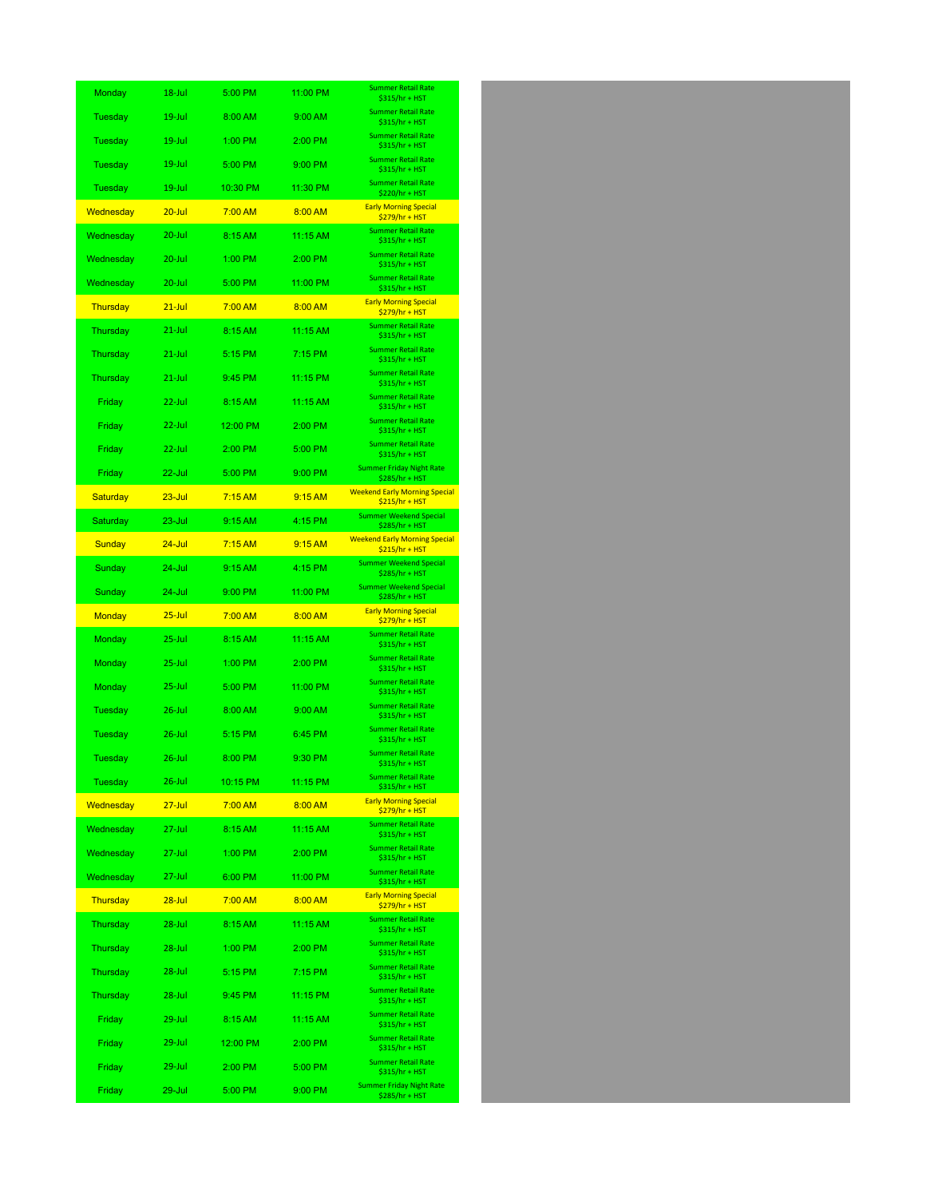| Monday        | 18-Jul     | 5:00 PM  | 11:00 PM | <b>Summer Retail Rate</b><br>\$315/hr + HST             |
|---------------|------------|----------|----------|---------------------------------------------------------|
| Tuesday       | 19-Jul     | 8:00 AM  | 9:00 AM  | <b>Summer Retail Rate</b><br>\$315/hr + HST             |
| Tuesday       | 19-Jul     | 1:00 PM  | 2:00 PM  | <b>Summer Retail Rate</b><br>\$315/hr + HST             |
| Tuesday       | $19 -$ Jul | 5:00 PM  | 9:00 PM  | <b>Summer Retail Rate</b><br>\$315/hr + HST             |
| Tuesday       | 19-Jul     | 10:30 PM | 11:30 PM | <b>Summer Retail Rate</b><br>\$220/hr + HST             |
| Wednesday     | $20 -$ Jul | 7:00 AM  | 8:00 AM  | <b>Early Morning Special</b><br>$$279/hr + HST$         |
| Wednesday     | $20 -$ Jul | 8:15 AM  | 11:15 AM | <b>Summer Retail Rate</b><br>\$315/hr + HST             |
| Wednesday     | $20 -$ Jul | 1:00 PM  | 2:00 PM  | <b>Summer Retail Rate</b><br>\$315/hr + HST             |
| Wednesday     | $20 -$ Jul | 5:00 PM  | 11:00 PM | <b>Summer Retail Rate</b><br>\$315/hr + HST             |
| Thursday      | $21$ -Jul  | 7:00 AM  | 8:00 AM  | <b>Early Morning Special</b><br>$$279/hr + HST$         |
| Thursday      | 21-Jul     | 8:15 AM  | 11:15 AM | <b>Summer Retail Rate</b><br>\$315/hr + HST             |
| Thursday      | $21$ -Jul  | 5:15 PM  | 7:15 PM  | <b>Summer Retail Rate</b><br>\$315/hr + HST             |
| Thursday      | $21$ -Jul  | 9:45 PM  | 11:15 PM | <b>Summer Retail Rate</b><br>\$315/hr + HST             |
| Friday        | $22$ -Jul  | 8:15 AM  | 11:15 AM | <b>Summer Retail Rate</b><br>\$315/hr + HST             |
| Friday        | $22$ -Jul  | 12:00 PM | 2:00 PM  | <b>Summer Retail Rate</b><br>\$315/hr + HST             |
| Friday        | $22$ -Jul  | 2:00 PM  | 5:00 PM  | <b>Summer Retail Rate</b><br>\$315/hr + HST             |
| Friday        | $22$ -Jul  | 5:00 PM  | 9:00 PM  | <b>Summer Friday Night Rate</b><br>\$285/hr + HST       |
| Saturday      | $23 -$ Jul | 7:15AM   | 9:15 AM  | <b>Weekend Early Morning Special</b><br>$$215/hr + HST$ |
| Saturday      | 23-Jul     | 9:15 AM  | 4:15 PM  | <b>Summer Weekend Special</b><br>\$285/hr + HST         |
| Sunday        | $24 -$ Jul | 7:15AM   | 9:15 AM  | <b>Weekend Early Morning Special</b><br>$$215/hr + HST$ |
| Sunday        | 24-Jul     | 9:15 AM  | 4:15 PM  | <b>Summer Weekend Special</b><br>\$285/hr + HST         |
| Sunday        | 24-Jul     | 9:00 PM  | 11:00 PM | <b>Summer Weekend Special</b><br>\$285/hr + HST         |
| <b>Monday</b> | $25 -$ Jul | 7:00 AM  | 8:00 AM  | <b>Early Morning Special</b><br>\$279/hr + HST          |
| Monday        | $25 -$ Jul | 8:15 AM  | 11:15 AM | <b>Summer Retail Rate</b><br>\$315/hr + HST             |
| Monday        | $25 -$ Jul | 1:00 PM  | 2:00 PM  | <b>Summer Retail Rate</b><br>\$315/hr + HST             |
| Monday        | $25 -$ Jul | 5:00 PM  | 11:00 PM | <b>Summer Retail Rate</b><br>\$315/hr + HST             |
| Tuesday       | $26$ -Jul  | 8:00 AM  | 9:00 AM  | <b>Summer Retail Rate</b><br>\$315/hr + HST             |
| Tuesday       | $26$ -Jul  | 5:15 PM  | 6:45 PM  | <b>Summer Retail Rate</b><br>\$315/hr + HST             |
| Tuesday       | $26$ -Jul  | 8:00 PM  | 9:30 PM  | <b>Summer Retail Rate</b><br>\$315/hr + HST             |
| Tuesday       | $26$ -Jul  | 10:15 PM | 11:15 PM | <b>Summer Retail Rate</b><br>\$315/hr + HST             |
| Wednesday     | $27 -$ Jul | 7:00 AM  | 8:00 AM  | <b>Early Morning Special</b><br>\$279/hr + HST          |
| Wednesday     | $27 -$ Jul | 8:15 AM  | 11:15 AM | <b>Summer Retail Rate</b><br>\$315/hr + HST             |
| Wednesday     | 27-Jul     | 1:00 PM  | 2:00 PM  | <b>Summer Retail Rate</b><br>\$315/hr + HST             |
| Wednesday     | 27-Jul     | 6:00 PM  | 11:00 PM | <b>Summer Retail Rate</b><br>\$315/hr + HST             |
| Thursday      | 28-Jul     | 7:00 AM  | 8:00 AM  | <b>Early Morning Special</b><br>$$279/hr + HST$         |
| Thursday      | 28-Jul     | 8:15 AM  | 11:15 AM | <b>Summer Retail Rate</b><br>\$315/hr + HST             |
| Thursday      | 28-Jul     | 1:00 PM  | 2:00 PM  | <b>Summer Retail Rate</b><br>\$315/hr + HST             |
| Thursday      | $28 -$ Jul | 5:15 PM  | 7:15 PM  | <b>Summer Retail Rate</b><br>\$315/hr + HST             |
| Thursday      | $28 -$ Jul | 9:45 PM  | 11:15 PM | <b>Summer Retail Rate</b><br>\$315/hr + HST             |
| Friday        | $29 -$ Jul | 8:15 AM  | 11:15 AM | <b>Summer Retail Rate</b><br>\$315/hr + HST             |
| Friday        | $29 -$ Jul | 12:00 PM | 2:00 PM  | <b>Summer Retail Rate</b><br>\$315/hr + HST             |
| Friday        | $29 -$ Jul | 2:00 PM  | 5:00 PM  | <b>Summer Retail Rate</b><br>\$315/hr + HST             |
| Friday        | 29-Jul     | 5:00 PM  | 9:00 PM  | <b>Summer Friday Night Rate</b><br>\$285/hr + HST       |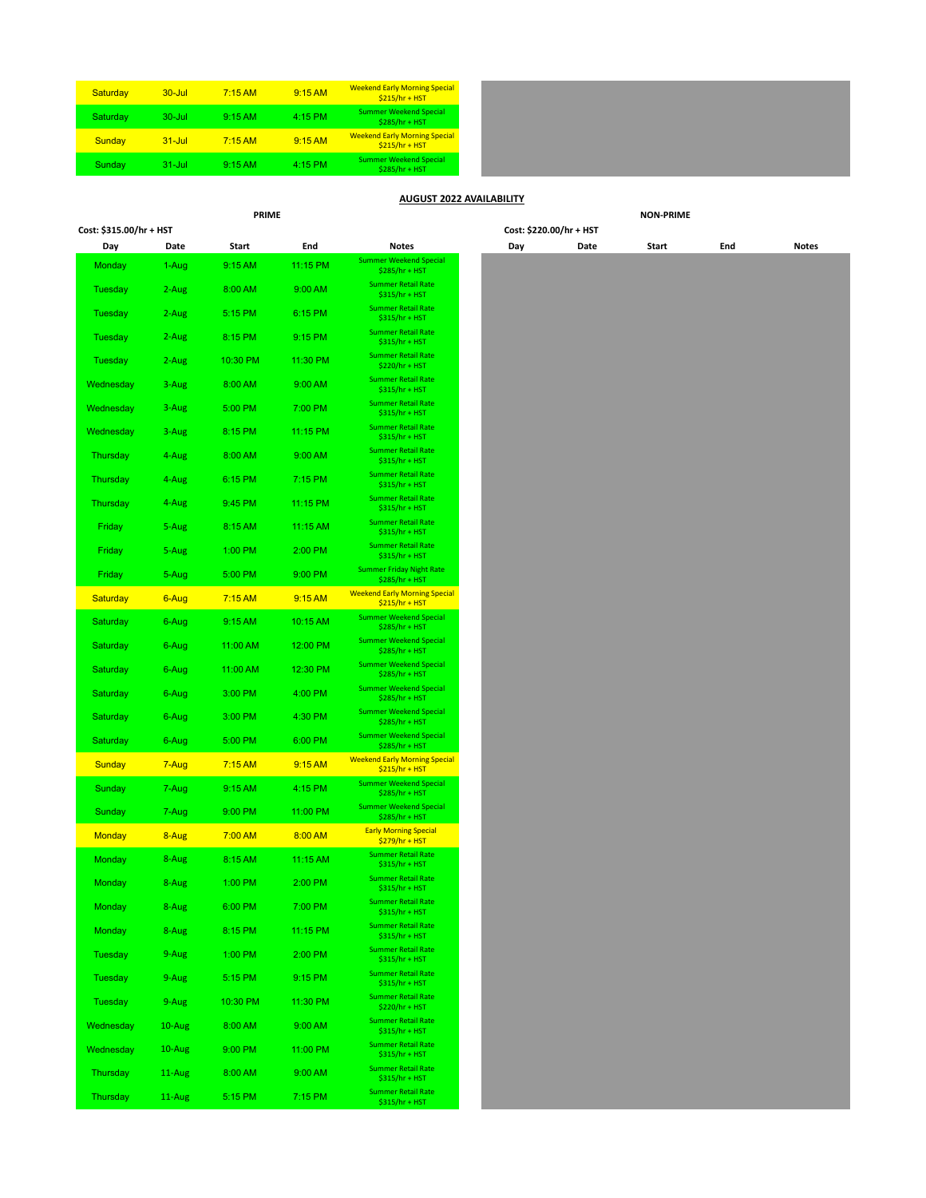| Saturday | $30 -$ Jul  | $7:15$ AM | 9:15 AM   | <b>Weekend Early Morning Special</b><br>$$215/hr + HST$ |
|----------|-------------|-----------|-----------|---------------------------------------------------------|
| Saturday | $30 - J$ ul | 9:15AM    | $4:15$ PM | <b>Summer Weekend Special</b><br>\$285/hr + HST         |
| Sunday   | $31 -$ Jul  | $7:15$ AM | 9:15AM    | <b>Weekend Early Morning Special</b><br>$$215/hr + HST$ |
| Sunday   | $31 -$ Jul  | 9:15AM    | 4:15 PM   | <b>Summer Weekend Special</b><br>\$285/hr + HST         |

## **AUGUST 2022 AVAILABILITY**

**Cost: \$315.00/hr + HST Cost: \$220.00/hr + HST**

**PRIME NON-PRIME**

| Cost: \$315.00/hr + HST |  |
|-------------------------|--|
|-------------------------|--|

| <b>Summer Weekend Special</b><br>11:15 PM<br>9:15 AM<br>Monday<br>1-Aug<br>\$285/hr + HST<br><b>Summer Retail Rate</b><br>Tuesday<br>2-Aug<br>8:00 AM<br>9:00 AM<br>$$315/hr + HST$<br><b>Summer Retail Rate</b><br>5:15 PM<br>6:15 PM<br>Tuesday<br>2-Aug<br>\$315/hr + HST<br><b>Summer Retail Rate</b><br>Tuesday<br>2-Aug<br>8:15 PM<br>9:15 PM<br>\$315/hr + HST<br><b>Summer Retail Rate</b><br>10:30 PM<br>Tuesday<br>2-Aug<br>11:30 PM<br>\$220/hr + HST<br><b>Summer Retail Rate</b><br>Wednesday<br>3-Aug<br>8:00 AM<br>9:00 AM<br>\$315/hr + HST<br><b>Summer Retail Rate</b><br>5:00 PM<br>7:00 PM<br>Wednesday<br>3-Aug<br>$$315/hr + HST$<br><b>Summer Retail Rate</b><br>8:15 PM<br>11:15 PM<br>Wednesday<br>3-Aug<br>\$315/hr + HST<br><b>Summer Retail Rate</b><br>9:00 AM<br>Thursday<br>4-Aug<br>8:00 AM<br>$$315/hr + HST$<br><b>Summer Retail Rate</b><br>6:15 PM<br>7:15 PM<br>Thursday<br>4-Aug<br>\$315/hr + HST<br><b>Summer Retail Rate</b><br>9:45 PM<br>Thursday<br>4-Aug<br>11:15 PM<br>$$315/hr + HST$<br><b>Summer Retail Rate</b><br>Friday<br>5-Aug<br>8:15 AM<br>11:15 AM<br>\$315/hr + HST<br><b>Summer Retail Rate</b><br>5-Aug<br>1:00 PM<br>2:00 PM<br>Friday<br>\$315/hr + HST<br><b>Summer Friday Night Rate</b><br>5:00 PM<br>5-Aug<br>9:00 PM<br>Friday<br>\$285/hr + HST<br><b>Weekend Early Morning Special</b><br><b>Saturday</b><br>6-Aug<br>7:15AM<br>9:15 AM<br>$$215/hr + HST$<br><b>Summer Weekend Special</b><br>Saturday<br>9:15 AM<br>10:15 AM<br>6-Aug<br>\$285/hr + HST<br><b>Summer Weekend Special</b><br>Saturday<br>6-Aug<br>11:00 AM<br>12:00 PM<br>\$285/hr + HST<br><b>Summer Weekend Special</b><br>12:30 PM<br>Saturday<br>11:00 AM<br>6-Aug<br>\$285/hr + HST<br><b>Summer Weekend Special</b><br>3:00 PM<br>4:00 PM<br>Saturday<br>6-Aug<br>\$285/hr + HST<br><b>Summer Weekend Special</b><br>3:00 PM<br>Saturday<br>6-Aug<br>4:30 PM<br>\$285/hr + HST<br><b>Summer Weekend Special</b><br>Saturday<br>6-Aug<br>5:00 PM<br>6:00 PM<br>\$285/hr + HST<br><b>Weekend Early Morning Special</b><br>$7:15$ AM<br>9:15 AM<br>Sunday<br>7-Aug<br>$$215/hr + HST$<br><b>Summer Weekend Special</b><br>9:15 AM<br>4:15 PM<br>Sunday<br>7-Aug<br>\$285/hr + HST<br><b>Summer Weekend Special</b><br>9:00 PM<br>11:00 PM<br>Sunday<br>7-Aug<br>\$285/hr + HST<br><b>Early Morning Special</b><br>8:00 AM<br>7:00 AM<br>Monday<br>8-Aug<br>$$279/hr + HST$<br><b>Summer Retail Rate</b><br>Monday<br>8-Aug<br>8:15 AM<br>11:15 AM<br>\$315/hr + HST<br><b>Summer Retail Rate</b><br>8-Aug<br>1:00 PM<br>2:00 PM<br>Monday<br>\$315/hr + HST<br><b>Summer Retail Rate</b><br>8-Aug<br>6:00 PM<br>7:00 PM<br>Monday<br>$$315/hr + HST$<br><b>Summer Retail Rate</b><br>8-Aug<br>Monday<br>8:15 PM<br>11:15 PM<br>$$315/hr + HST$<br><b>Summer Retail Rate</b><br>1:00 PM<br>2:00 PM<br>Tuesday<br>9-Aug<br>$$315/hr + HST$<br><b>Summer Retail Rate</b><br>5:15 PM<br>Tuesday<br>9-Aug<br>9:15 PM<br>\$315/hr + HST | Day      | Date   | Start    | End      | Notes                     | Day | Date | Start | End | Notes |
|----------------------------------------------------------------------------------------------------------------------------------------------------------------------------------------------------------------------------------------------------------------------------------------------------------------------------------------------------------------------------------------------------------------------------------------------------------------------------------------------------------------------------------------------------------------------------------------------------------------------------------------------------------------------------------------------------------------------------------------------------------------------------------------------------------------------------------------------------------------------------------------------------------------------------------------------------------------------------------------------------------------------------------------------------------------------------------------------------------------------------------------------------------------------------------------------------------------------------------------------------------------------------------------------------------------------------------------------------------------------------------------------------------------------------------------------------------------------------------------------------------------------------------------------------------------------------------------------------------------------------------------------------------------------------------------------------------------------------------------------------------------------------------------------------------------------------------------------------------------------------------------------------------------------------------------------------------------------------------------------------------------------------------------------------------------------------------------------------------------------------------------------------------------------------------------------------------------------------------------------------------------------------------------------------------------------------------------------------------------------------------------------------------------------------------------------------------------------------------------------------------------------------------------------------------------------------------------------------------------------------------------------------------------------------------------------------------------------------------------------------------------------------------------------------------------------------------------------------------------------------------------------------------------------------------------------------------------------------|----------|--------|----------|----------|---------------------------|-----|------|-------|-----|-------|
|                                                                                                                                                                                                                                                                                                                                                                                                                                                                                                                                                                                                                                                                                                                                                                                                                                                                                                                                                                                                                                                                                                                                                                                                                                                                                                                                                                                                                                                                                                                                                                                                                                                                                                                                                                                                                                                                                                                                                                                                                                                                                                                                                                                                                                                                                                                                                                                                                                                                                                                                                                                                                                                                                                                                                                                                                                                                                                                                                                            |          |        |          |          |                           |     |      |       |     |       |
|                                                                                                                                                                                                                                                                                                                                                                                                                                                                                                                                                                                                                                                                                                                                                                                                                                                                                                                                                                                                                                                                                                                                                                                                                                                                                                                                                                                                                                                                                                                                                                                                                                                                                                                                                                                                                                                                                                                                                                                                                                                                                                                                                                                                                                                                                                                                                                                                                                                                                                                                                                                                                                                                                                                                                                                                                                                                                                                                                                            |          |        |          |          |                           |     |      |       |     |       |
|                                                                                                                                                                                                                                                                                                                                                                                                                                                                                                                                                                                                                                                                                                                                                                                                                                                                                                                                                                                                                                                                                                                                                                                                                                                                                                                                                                                                                                                                                                                                                                                                                                                                                                                                                                                                                                                                                                                                                                                                                                                                                                                                                                                                                                                                                                                                                                                                                                                                                                                                                                                                                                                                                                                                                                                                                                                                                                                                                                            |          |        |          |          |                           |     |      |       |     |       |
|                                                                                                                                                                                                                                                                                                                                                                                                                                                                                                                                                                                                                                                                                                                                                                                                                                                                                                                                                                                                                                                                                                                                                                                                                                                                                                                                                                                                                                                                                                                                                                                                                                                                                                                                                                                                                                                                                                                                                                                                                                                                                                                                                                                                                                                                                                                                                                                                                                                                                                                                                                                                                                                                                                                                                                                                                                                                                                                                                                            |          |        |          |          |                           |     |      |       |     |       |
|                                                                                                                                                                                                                                                                                                                                                                                                                                                                                                                                                                                                                                                                                                                                                                                                                                                                                                                                                                                                                                                                                                                                                                                                                                                                                                                                                                                                                                                                                                                                                                                                                                                                                                                                                                                                                                                                                                                                                                                                                                                                                                                                                                                                                                                                                                                                                                                                                                                                                                                                                                                                                                                                                                                                                                                                                                                                                                                                                                            |          |        |          |          |                           |     |      |       |     |       |
|                                                                                                                                                                                                                                                                                                                                                                                                                                                                                                                                                                                                                                                                                                                                                                                                                                                                                                                                                                                                                                                                                                                                                                                                                                                                                                                                                                                                                                                                                                                                                                                                                                                                                                                                                                                                                                                                                                                                                                                                                                                                                                                                                                                                                                                                                                                                                                                                                                                                                                                                                                                                                                                                                                                                                                                                                                                                                                                                                                            |          |        |          |          |                           |     |      |       |     |       |
|                                                                                                                                                                                                                                                                                                                                                                                                                                                                                                                                                                                                                                                                                                                                                                                                                                                                                                                                                                                                                                                                                                                                                                                                                                                                                                                                                                                                                                                                                                                                                                                                                                                                                                                                                                                                                                                                                                                                                                                                                                                                                                                                                                                                                                                                                                                                                                                                                                                                                                                                                                                                                                                                                                                                                                                                                                                                                                                                                                            |          |        |          |          |                           |     |      |       |     |       |
|                                                                                                                                                                                                                                                                                                                                                                                                                                                                                                                                                                                                                                                                                                                                                                                                                                                                                                                                                                                                                                                                                                                                                                                                                                                                                                                                                                                                                                                                                                                                                                                                                                                                                                                                                                                                                                                                                                                                                                                                                                                                                                                                                                                                                                                                                                                                                                                                                                                                                                                                                                                                                                                                                                                                                                                                                                                                                                                                                                            |          |        |          |          |                           |     |      |       |     |       |
|                                                                                                                                                                                                                                                                                                                                                                                                                                                                                                                                                                                                                                                                                                                                                                                                                                                                                                                                                                                                                                                                                                                                                                                                                                                                                                                                                                                                                                                                                                                                                                                                                                                                                                                                                                                                                                                                                                                                                                                                                                                                                                                                                                                                                                                                                                                                                                                                                                                                                                                                                                                                                                                                                                                                                                                                                                                                                                                                                                            |          |        |          |          |                           |     |      |       |     |       |
|                                                                                                                                                                                                                                                                                                                                                                                                                                                                                                                                                                                                                                                                                                                                                                                                                                                                                                                                                                                                                                                                                                                                                                                                                                                                                                                                                                                                                                                                                                                                                                                                                                                                                                                                                                                                                                                                                                                                                                                                                                                                                                                                                                                                                                                                                                                                                                                                                                                                                                                                                                                                                                                                                                                                                                                                                                                                                                                                                                            |          |        |          |          |                           |     |      |       |     |       |
|                                                                                                                                                                                                                                                                                                                                                                                                                                                                                                                                                                                                                                                                                                                                                                                                                                                                                                                                                                                                                                                                                                                                                                                                                                                                                                                                                                                                                                                                                                                                                                                                                                                                                                                                                                                                                                                                                                                                                                                                                                                                                                                                                                                                                                                                                                                                                                                                                                                                                                                                                                                                                                                                                                                                                                                                                                                                                                                                                                            |          |        |          |          |                           |     |      |       |     |       |
|                                                                                                                                                                                                                                                                                                                                                                                                                                                                                                                                                                                                                                                                                                                                                                                                                                                                                                                                                                                                                                                                                                                                                                                                                                                                                                                                                                                                                                                                                                                                                                                                                                                                                                                                                                                                                                                                                                                                                                                                                                                                                                                                                                                                                                                                                                                                                                                                                                                                                                                                                                                                                                                                                                                                                                                                                                                                                                                                                                            |          |        |          |          |                           |     |      |       |     |       |
|                                                                                                                                                                                                                                                                                                                                                                                                                                                                                                                                                                                                                                                                                                                                                                                                                                                                                                                                                                                                                                                                                                                                                                                                                                                                                                                                                                                                                                                                                                                                                                                                                                                                                                                                                                                                                                                                                                                                                                                                                                                                                                                                                                                                                                                                                                                                                                                                                                                                                                                                                                                                                                                                                                                                                                                                                                                                                                                                                                            |          |        |          |          |                           |     |      |       |     |       |
|                                                                                                                                                                                                                                                                                                                                                                                                                                                                                                                                                                                                                                                                                                                                                                                                                                                                                                                                                                                                                                                                                                                                                                                                                                                                                                                                                                                                                                                                                                                                                                                                                                                                                                                                                                                                                                                                                                                                                                                                                                                                                                                                                                                                                                                                                                                                                                                                                                                                                                                                                                                                                                                                                                                                                                                                                                                                                                                                                                            |          |        |          |          |                           |     |      |       |     |       |
|                                                                                                                                                                                                                                                                                                                                                                                                                                                                                                                                                                                                                                                                                                                                                                                                                                                                                                                                                                                                                                                                                                                                                                                                                                                                                                                                                                                                                                                                                                                                                                                                                                                                                                                                                                                                                                                                                                                                                                                                                                                                                                                                                                                                                                                                                                                                                                                                                                                                                                                                                                                                                                                                                                                                                                                                                                                                                                                                                                            |          |        |          |          |                           |     |      |       |     |       |
|                                                                                                                                                                                                                                                                                                                                                                                                                                                                                                                                                                                                                                                                                                                                                                                                                                                                                                                                                                                                                                                                                                                                                                                                                                                                                                                                                                                                                                                                                                                                                                                                                                                                                                                                                                                                                                                                                                                                                                                                                                                                                                                                                                                                                                                                                                                                                                                                                                                                                                                                                                                                                                                                                                                                                                                                                                                                                                                                                                            |          |        |          |          |                           |     |      |       |     |       |
|                                                                                                                                                                                                                                                                                                                                                                                                                                                                                                                                                                                                                                                                                                                                                                                                                                                                                                                                                                                                                                                                                                                                                                                                                                                                                                                                                                                                                                                                                                                                                                                                                                                                                                                                                                                                                                                                                                                                                                                                                                                                                                                                                                                                                                                                                                                                                                                                                                                                                                                                                                                                                                                                                                                                                                                                                                                                                                                                                                            |          |        |          |          |                           |     |      |       |     |       |
|                                                                                                                                                                                                                                                                                                                                                                                                                                                                                                                                                                                                                                                                                                                                                                                                                                                                                                                                                                                                                                                                                                                                                                                                                                                                                                                                                                                                                                                                                                                                                                                                                                                                                                                                                                                                                                                                                                                                                                                                                                                                                                                                                                                                                                                                                                                                                                                                                                                                                                                                                                                                                                                                                                                                                                                                                                                                                                                                                                            |          |        |          |          |                           |     |      |       |     |       |
|                                                                                                                                                                                                                                                                                                                                                                                                                                                                                                                                                                                                                                                                                                                                                                                                                                                                                                                                                                                                                                                                                                                                                                                                                                                                                                                                                                                                                                                                                                                                                                                                                                                                                                                                                                                                                                                                                                                                                                                                                                                                                                                                                                                                                                                                                                                                                                                                                                                                                                                                                                                                                                                                                                                                                                                                                                                                                                                                                                            |          |        |          |          |                           |     |      |       |     |       |
|                                                                                                                                                                                                                                                                                                                                                                                                                                                                                                                                                                                                                                                                                                                                                                                                                                                                                                                                                                                                                                                                                                                                                                                                                                                                                                                                                                                                                                                                                                                                                                                                                                                                                                                                                                                                                                                                                                                                                                                                                                                                                                                                                                                                                                                                                                                                                                                                                                                                                                                                                                                                                                                                                                                                                                                                                                                                                                                                                                            |          |        |          |          |                           |     |      |       |     |       |
|                                                                                                                                                                                                                                                                                                                                                                                                                                                                                                                                                                                                                                                                                                                                                                                                                                                                                                                                                                                                                                                                                                                                                                                                                                                                                                                                                                                                                                                                                                                                                                                                                                                                                                                                                                                                                                                                                                                                                                                                                                                                                                                                                                                                                                                                                                                                                                                                                                                                                                                                                                                                                                                                                                                                                                                                                                                                                                                                                                            |          |        |          |          |                           |     |      |       |     |       |
|                                                                                                                                                                                                                                                                                                                                                                                                                                                                                                                                                                                                                                                                                                                                                                                                                                                                                                                                                                                                                                                                                                                                                                                                                                                                                                                                                                                                                                                                                                                                                                                                                                                                                                                                                                                                                                                                                                                                                                                                                                                                                                                                                                                                                                                                                                                                                                                                                                                                                                                                                                                                                                                                                                                                                                                                                                                                                                                                                                            |          |        |          |          |                           |     |      |       |     |       |
|                                                                                                                                                                                                                                                                                                                                                                                                                                                                                                                                                                                                                                                                                                                                                                                                                                                                                                                                                                                                                                                                                                                                                                                                                                                                                                                                                                                                                                                                                                                                                                                                                                                                                                                                                                                                                                                                                                                                                                                                                                                                                                                                                                                                                                                                                                                                                                                                                                                                                                                                                                                                                                                                                                                                                                                                                                                                                                                                                                            |          |        |          |          |                           |     |      |       |     |       |
|                                                                                                                                                                                                                                                                                                                                                                                                                                                                                                                                                                                                                                                                                                                                                                                                                                                                                                                                                                                                                                                                                                                                                                                                                                                                                                                                                                                                                                                                                                                                                                                                                                                                                                                                                                                                                                                                                                                                                                                                                                                                                                                                                                                                                                                                                                                                                                                                                                                                                                                                                                                                                                                                                                                                                                                                                                                                                                                                                                            |          |        |          |          |                           |     |      |       |     |       |
|                                                                                                                                                                                                                                                                                                                                                                                                                                                                                                                                                                                                                                                                                                                                                                                                                                                                                                                                                                                                                                                                                                                                                                                                                                                                                                                                                                                                                                                                                                                                                                                                                                                                                                                                                                                                                                                                                                                                                                                                                                                                                                                                                                                                                                                                                                                                                                                                                                                                                                                                                                                                                                                                                                                                                                                                                                                                                                                                                                            |          |        |          |          |                           |     |      |       |     |       |
|                                                                                                                                                                                                                                                                                                                                                                                                                                                                                                                                                                                                                                                                                                                                                                                                                                                                                                                                                                                                                                                                                                                                                                                                                                                                                                                                                                                                                                                                                                                                                                                                                                                                                                                                                                                                                                                                                                                                                                                                                                                                                                                                                                                                                                                                                                                                                                                                                                                                                                                                                                                                                                                                                                                                                                                                                                                                                                                                                                            |          |        |          |          |                           |     |      |       |     |       |
|                                                                                                                                                                                                                                                                                                                                                                                                                                                                                                                                                                                                                                                                                                                                                                                                                                                                                                                                                                                                                                                                                                                                                                                                                                                                                                                                                                                                                                                                                                                                                                                                                                                                                                                                                                                                                                                                                                                                                                                                                                                                                                                                                                                                                                                                                                                                                                                                                                                                                                                                                                                                                                                                                                                                                                                                                                                                                                                                                                            |          |        |          |          |                           |     |      |       |     |       |
|                                                                                                                                                                                                                                                                                                                                                                                                                                                                                                                                                                                                                                                                                                                                                                                                                                                                                                                                                                                                                                                                                                                                                                                                                                                                                                                                                                                                                                                                                                                                                                                                                                                                                                                                                                                                                                                                                                                                                                                                                                                                                                                                                                                                                                                                                                                                                                                                                                                                                                                                                                                                                                                                                                                                                                                                                                                                                                                                                                            |          |        |          |          |                           |     |      |       |     |       |
|                                                                                                                                                                                                                                                                                                                                                                                                                                                                                                                                                                                                                                                                                                                                                                                                                                                                                                                                                                                                                                                                                                                                                                                                                                                                                                                                                                                                                                                                                                                                                                                                                                                                                                                                                                                                                                                                                                                                                                                                                                                                                                                                                                                                                                                                                                                                                                                                                                                                                                                                                                                                                                                                                                                                                                                                                                                                                                                                                                            |          |        |          |          |                           |     |      |       |     |       |
|                                                                                                                                                                                                                                                                                                                                                                                                                                                                                                                                                                                                                                                                                                                                                                                                                                                                                                                                                                                                                                                                                                                                                                                                                                                                                                                                                                                                                                                                                                                                                                                                                                                                                                                                                                                                                                                                                                                                                                                                                                                                                                                                                                                                                                                                                                                                                                                                                                                                                                                                                                                                                                                                                                                                                                                                                                                                                                                                                                            |          |        |          |          |                           |     |      |       |     |       |
|                                                                                                                                                                                                                                                                                                                                                                                                                                                                                                                                                                                                                                                                                                                                                                                                                                                                                                                                                                                                                                                                                                                                                                                                                                                                                                                                                                                                                                                                                                                                                                                                                                                                                                                                                                                                                                                                                                                                                                                                                                                                                                                                                                                                                                                                                                                                                                                                                                                                                                                                                                                                                                                                                                                                                                                                                                                                                                                                                                            |          |        |          |          |                           |     |      |       |     |       |
| \$220/hr + HST                                                                                                                                                                                                                                                                                                                                                                                                                                                                                                                                                                                                                                                                                                                                                                                                                                                                                                                                                                                                                                                                                                                                                                                                                                                                                                                                                                                                                                                                                                                                                                                                                                                                                                                                                                                                                                                                                                                                                                                                                                                                                                                                                                                                                                                                                                                                                                                                                                                                                                                                                                                                                                                                                                                                                                                                                                                                                                                                                             | Tuesday  | 9-Aug  | 10:30 PM | 11:30 PM | <b>Summer Retail Rate</b> |     |      |       |     |       |
| <b>Summer Retail Rate</b><br>8:00 AM<br>9:00 AM<br>Wednesday<br>10-Aug<br>\$315/hr + HST                                                                                                                                                                                                                                                                                                                                                                                                                                                                                                                                                                                                                                                                                                                                                                                                                                                                                                                                                                                                                                                                                                                                                                                                                                                                                                                                                                                                                                                                                                                                                                                                                                                                                                                                                                                                                                                                                                                                                                                                                                                                                                                                                                                                                                                                                                                                                                                                                                                                                                                                                                                                                                                                                                                                                                                                                                                                                   |          |        |          |          |                           |     |      |       |     |       |
| <b>Summer Retail Rate</b><br>Wednesday<br>10-Aug<br>9:00 PM<br>11:00 PM<br>\$315/hr + HST                                                                                                                                                                                                                                                                                                                                                                                                                                                                                                                                                                                                                                                                                                                                                                                                                                                                                                                                                                                                                                                                                                                                                                                                                                                                                                                                                                                                                                                                                                                                                                                                                                                                                                                                                                                                                                                                                                                                                                                                                                                                                                                                                                                                                                                                                                                                                                                                                                                                                                                                                                                                                                                                                                                                                                                                                                                                                  |          |        |          |          |                           |     |      |       |     |       |
| <b>Summer Retail Rate</b><br>11-Aug<br>9:00 AM<br>Thursday<br>8:00 AM<br>\$315/hr + HST                                                                                                                                                                                                                                                                                                                                                                                                                                                                                                                                                                                                                                                                                                                                                                                                                                                                                                                                                                                                                                                                                                                                                                                                                                                                                                                                                                                                                                                                                                                                                                                                                                                                                                                                                                                                                                                                                                                                                                                                                                                                                                                                                                                                                                                                                                                                                                                                                                                                                                                                                                                                                                                                                                                                                                                                                                                                                    |          |        |          |          |                           |     |      |       |     |       |
| <b>Summer Retail Rate</b>                                                                                                                                                                                                                                                                                                                                                                                                                                                                                                                                                                                                                                                                                                                                                                                                                                                                                                                                                                                                                                                                                                                                                                                                                                                                                                                                                                                                                                                                                                                                                                                                                                                                                                                                                                                                                                                                                                                                                                                                                                                                                                                                                                                                                                                                                                                                                                                                                                                                                                                                                                                                                                                                                                                                                                                                                                                                                                                                                  | Thursday | 11-Aug | 5:15 PM  | 7:15 PM  | $$315/hr + HST$           |     |      |       |     |       |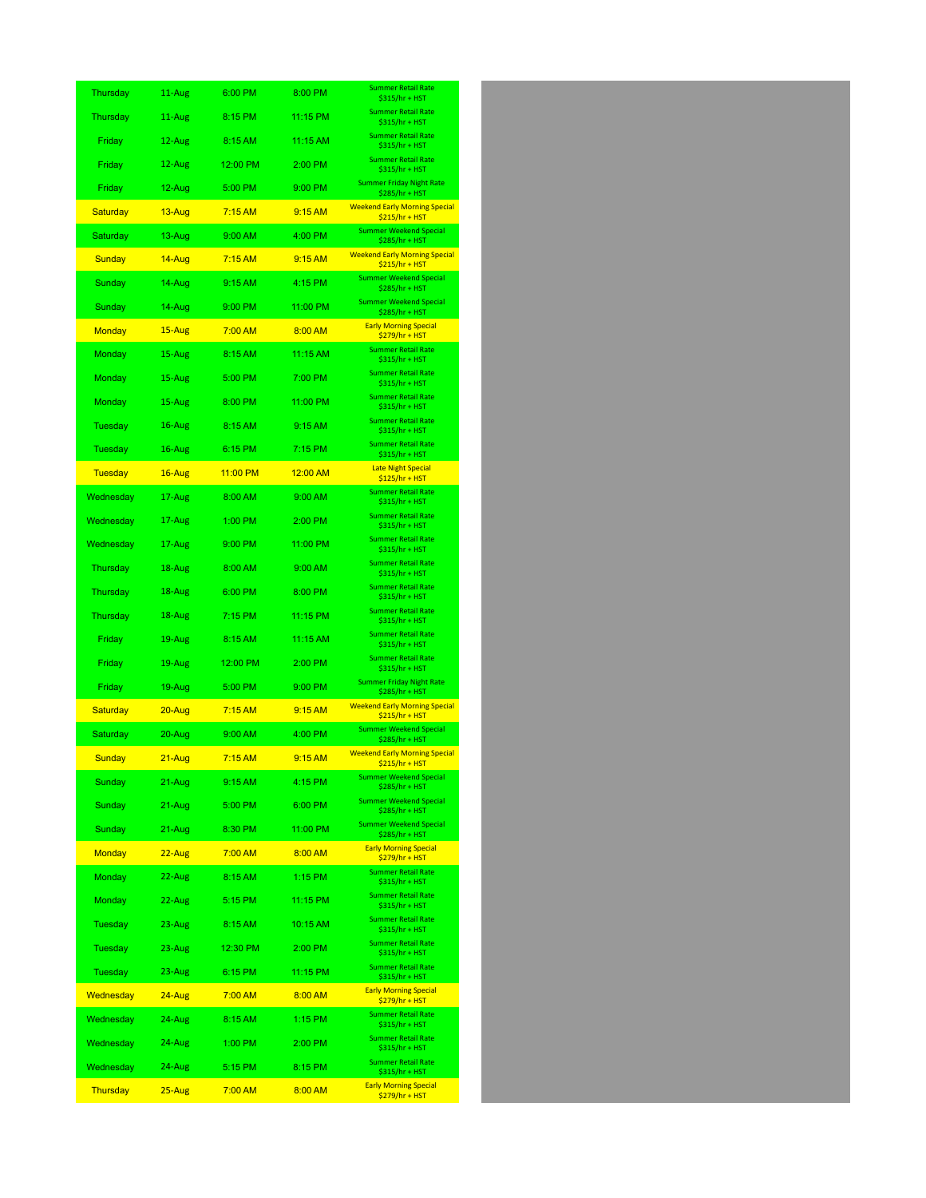| Thursday        | 11-Aug     | 6:00 PM        | 8:00 PM         | <b>Summer Retail Rate</b><br>\$315/hr + HST             |
|-----------------|------------|----------------|-----------------|---------------------------------------------------------|
| Thursday        | 11-Aug     | 8:15 PM        | 11:15 PM        | <b>Summer Retail Rate</b><br>\$315/hr + HST             |
| Friday          | 12-Aug     | 8:15 AM        | 11:15 AM        | <b>Summer Retail Rate</b><br>\$315/hr + HST             |
| Friday          | 12-Aug     | 12:00 PM       | 2:00 PM         | <b>Summer Retail Rate</b><br>\$315/hr + HST             |
| Friday          | 12-Aug     | 5:00 PM        | 9:00 PM         | <b>Summer Friday Night Rate</b><br>\$285/hr + HST       |
| <b>Saturday</b> | 13-Aug     | 7:15AM         | 9:15 AM         | <b>Weekend Early Morning Special</b><br>$$215/hr + HST$ |
| Saturday        | 13-Aug     | 9:00 AM        | 4:00 PM         | <b>Summer Weekend Special</b><br>\$285/hr + HST         |
| Sunday          | 14-Aug     | 7:15AM         | 9:15 AM         | <b>Weekend Early Morning Special</b><br>$$215/hr + HST$ |
| Sunday          | 14-Aug     | 9:15 AM        | 4:15 PM         | <b>Summer Weekend Special</b><br>\$285/hr + HST         |
| Sunday          | 14-Aug     | 9:00 PM        | 11:00 PM        | <b>Summer Weekend Special</b><br>\$285/hr + HST         |
| <b>Monday</b>   | 15-Aug     | 7:00 AM        | 8:00 AM         | <b>Early Morning Special</b><br><u> \$279/hr + HST</u>  |
| Monday          | 15-Aug     | 8:15 AM        | 11:15 AM        | <b>Summer Retail Rate</b><br>\$315/hr + HST             |
| Monday          | 15-Aug     | 5:00 PM        | 7:00 PM         | <b>Summer Retail Rate</b><br>\$315/hr + HST             |
| Monday          | 15-Aug     | 8:00 PM        | 11:00 PM        | <b>Summer Retail Rate</b><br>\$315/hr + HST             |
| Tuesday         | 16-Aug     | 8:15 AM        | 9:15 AM         | <b>Summer Retail Rate</b><br>\$315/hr + HST             |
| Tuesday         | 16-Aug     | 6:15 PM        | 7:15 PM         | <b>Summer Retail Rate</b><br>\$315/hr + HST             |
| <b>Tuesday</b>  | $16 - Aug$ | 11:00 PM       | <u>12:00 AM</u> | <b>Late Night Special</b><br>$$125/hr + HST$            |
| Wednesday       | 17-Aug     | 8:00 AM        | 9:00 AM         | <b>Summer Retail Rate</b><br>\$315/hr + HST             |
| Wednesday       | 17-Aug     | 1:00 PM        | 2:00 PM         | <b>Summer Retail Rate</b><br>\$315/hr + HST             |
| Wednesday       | 17-Aug     | 9:00 PM        | 11:00 PM        | <b>Summer Retail Rate</b><br>\$315/hr + HST             |
| Thursday        | 18-Aug     | 8:00 AM        | 9:00 AM         | <b>Summer Retail Rate</b><br>\$315/hr + HST             |
| Thursday        | 18-Aug     | 6:00 PM        | 8:00 PM         | <b>Summer Retail Rate</b><br>\$315/hr + HST             |
| Thursday        | 18-Aug     | 7:15 PM        | 11:15 PM        | <b>Summer Retail Rate</b><br>\$315/hr + HST             |
| Friday          | 19-Aug     | 8:15 AM        | 11:15 AM        | <b>Summer Retail Rate</b><br>\$315/hr + HST             |
| Friday          | 19-Aug     | 12:00 PM       | 2:00 PM         | <b>Summer Retail Rate</b><br>\$315/hr + HST             |
| Friday          | 19-Aug     | 5:00 PM        | 9:00 PM         | <b>Summer Friday Night Rate</b><br>\$285/hr + HST       |
| <b>Saturday</b> | $20 - Aug$ | 7:15AM         | 9:15 AM         | <b>Weekend Early Morning Special</b><br>\$215/hr + HST  |
| Saturday        | 20-Aug     | 9:00 AM        | 4:00 PM         | <b>Summer Weekend Special</b><br>\$285/hr + HST         |
| <u>Sunday</u>   | 21-Aug     | <u>7:15 AM</u> | 9:15 AM         | <b>Weekend Early Morning Special</b><br>\$215/hr + HST  |
| Sunday          | 21-Aug     | 9:15 AM        | 4:15 PM         | <b>Summer Weekend Special</b><br>\$285/hr + HST         |
| Sunday          | 21-Aug     | 5:00 PM        | 6:00 PM         | <b>Summer Weekend Special</b><br>\$285/hr + HST         |
| Sunday          | 21-Aug     | 8:30 PM        | 11:00 PM        | <b>Summer Weekend Special</b><br>\$285/hr + HST         |
| Monday          | 22-Aug     | 7:00 AM        | 8:00 AM         | <b>Early Morning Special</b><br>\$279/hr + HST          |
| Monday          | 22-Aug     | 8:15 AM        | 1:15 PM         | <b>Summer Retail Rate</b><br>\$315/hr + HST             |
| Monday          | 22-Aug     | 5:15 PM        | 11:15 PM        | <b>Summer Retail Rate</b><br>\$315/hr + HST             |
| Tuesday         | 23-Aug     | 8:15 AM        | 10:15 AM        | <b>Summer Retail Rate</b><br>\$315/hr + HST             |
| Tuesday         | 23-Aug     | 12:30 PM       | 2:00 PM         | <b>Summer Retail Rate</b><br>\$315/hr + HST             |
| Tuesday         | 23-Aug     | 6:15 PM        | 11:15 PM        | <b>Summer Retail Rate</b><br>\$315/hr + HST             |
| Wednesday       | 24-Aug     | 7:00 AM        | 8:00 AM         | <b>Early Morning Special</b><br>\$279/hr + HST          |
| Wednesday       | 24-Aug     | 8:15 AM        | 1:15 PM         | <b>Summer Retail Rate</b><br>\$315/hr + HST             |
| Wednesday       | 24-Aug     | 1:00 PM        | 2:00 PM         | <b>Summer Retail Rate</b><br>\$315/hr + HST             |
| Wednesday       | 24-Aug     | 5:15 PM        | 8:15 PM         | <b>Summer Retail Rate</b><br>$$315/hr + HST$            |
| Thursday        | 25-Aug     | 7:00 AM        | 8:00 AM         | <b>Early Morning Special</b><br>\$279/hr + HST          |